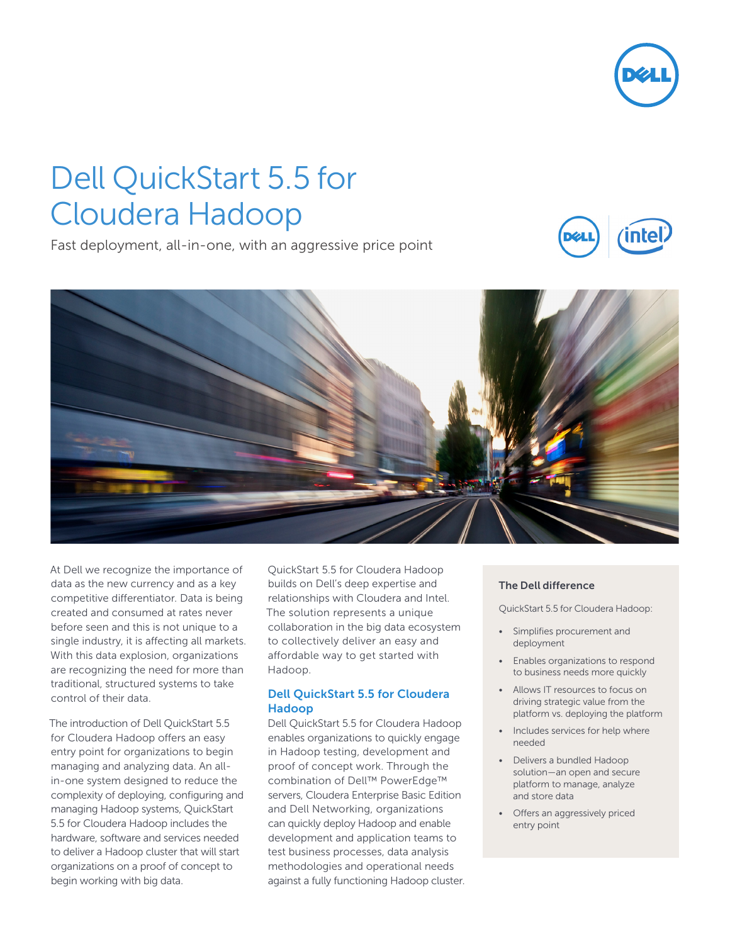

# Dell QuickStart 5.5 for Cloudera Hadoop

Fast deployment, all-in-one, with an aggressive price point





At Dell we recognize the importance of data as the new currency and as a key competitive differentiator. Data is being created and consumed at rates never before seen and this is not unique to a single industry, it is affecting all markets. With this data explosion, organizations are recognizing the need for more than traditional, structured systems to take control of their data.

The introduction of Dell QuickStart 5.5 for Cloudera Hadoop offers an easy entry point for organizations to begin managing and analyzing data. An allin-one system designed to reduce the complexity of deploying, configuring and managing Hadoop systems, QuickStart 5.5 for Cloudera Hadoop includes the hardware, software and services needed to deliver a Hadoop cluster that will start organizations on a proof of concept to begin working with big data.

QuickStart 5.5 for Cloudera Hadoop builds on Dell's deep expertise and relationships with Cloudera and Intel. The solution represents a unique collaboration in the big data ecosystem to collectively deliver an easy and affordable way to get started with Hadoop.

## Dell QuickStart 5.5 for Cloudera Hadoop

Dell QuickStart 5.5 for Cloudera Hadoop enables organizations to quickly engage in Hadoop testing, development and proof of concept work. Through the combination of Dell™ PowerEdge™ servers, Cloudera Enterprise Basic Edition and Dell Networking, organizations can quickly deploy Hadoop and enable development and application teams to test business processes, data analysis methodologies and operational needs against a fully functioning Hadoop cluster.

### The Dell difference

QuickStart 5.5 for Cloudera Hadoop:

- Simplifies procurement and deployment
- Enables organizations to respond to business needs more quickly
- Allows IT resources to focus on driving strategic value from the platform vs. deploying the platform
- Includes services for help where needed
- Delivers a bundled Hadoop solution—an open and secure platform to manage, analyze and store data
- Offers an aggressively priced entry point